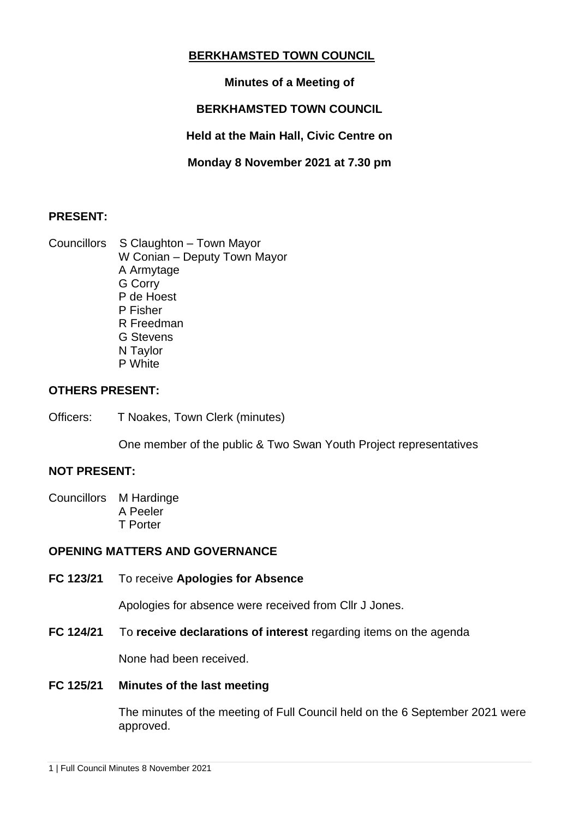## **BERKHAMSTED TOWN COUNCIL**

## **Minutes of a Meeting of**

# **BERKHAMSTED TOWN COUNCIL**

**Held at the Main Hall, Civic Centre on**

**Monday 8 November 2021 at 7.30 pm**

### **PRESENT:**

Councillors S Claughton – Town Mayor W Conian – Deputy Town Mayor A Armytage G Corry P de Hoest P Fisher R Freedman G Stevens N Taylor P White

### **OTHERS PRESENT:**

Officers: T Noakes, Town Clerk (minutes)

One member of the public & Two Swan Youth Project representatives

#### **NOT PRESENT:**

Councillors M Hardinge A Peeler T Porter

#### **OPENING MATTERS AND GOVERNANCE**

**FC 123/21** To receive **Apologies for Absence**

Apologies for absence were received from Cllr J Jones.

**FC 124/21** To **receive declarations of interest** regarding items on the agenda

None had been received.

#### **FC 125/21 Minutes of the last meeting**

The minutes of the meeting of Full Council held on the 6 September 2021 were approved.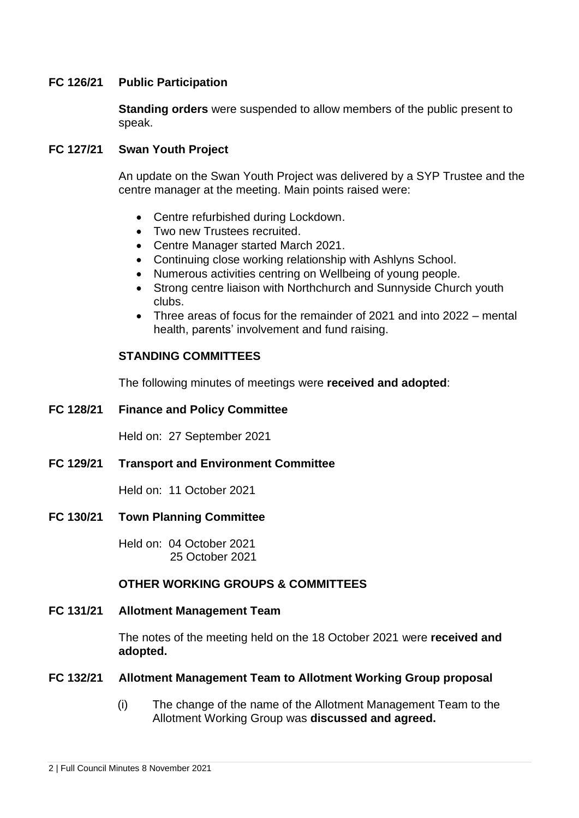#### **FC 126/21 Public Participation**

**Standing orders** were suspended to allow members of the public present to speak.

#### **FC 127/21 Swan Youth Project**

An update on the Swan Youth Project was delivered by a SYP Trustee and the centre manager at the meeting. Main points raised were:

- Centre refurbished during Lockdown.
- Two new Trustees recruited.
- Centre Manager started March 2021.
- Continuing close working relationship with Ashlyns School.
- Numerous activities centring on Wellbeing of young people.
- Strong centre liaison with Northchurch and Sunnyside Church youth clubs.
- Three areas of focus for the remainder of 2021 and into 2022 mental health, parents' involvement and fund raising.

#### **STANDING COMMITTEES**

The following minutes of meetings were **received and adopted**:

**FC 128/21 Finance and Policy Committee**

Held on: 27 September 2021

**FC 129/21 Transport and Environment Committee**

Held on: 11 October 2021

**FC 130/21 Town Planning Committee** 

Held on: 04 October 2021 25 October 2021

#### **OTHER WORKING GROUPS & COMMITTEES**

#### **FC 131/21 Allotment Management Team**

The notes of the meeting held on the 18 October 2021 were **received and adopted.**

#### **FC 132/21 Allotment Management Team to Allotment Working Group proposal**

(i) The change of the name of the Allotment Management Team to the Allotment Working Group was **discussed and agreed.**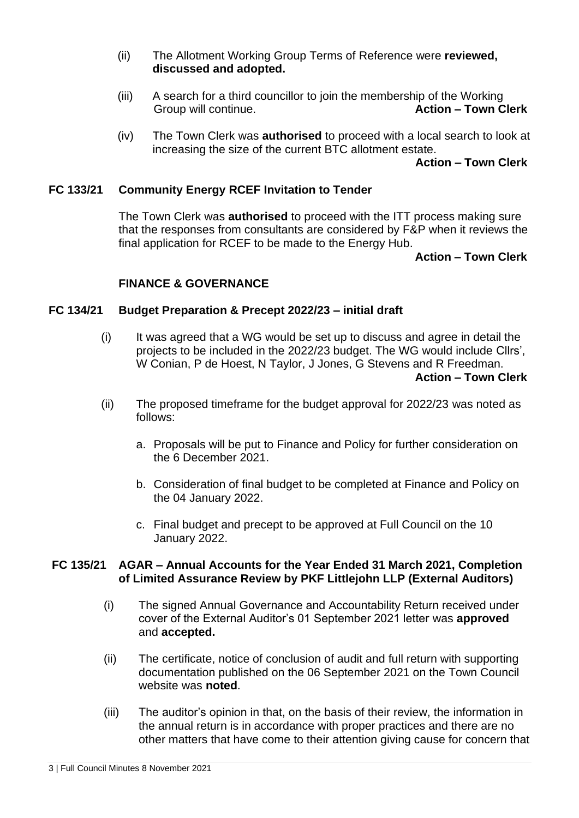- (ii) The Allotment Working Group Terms of Reference were **reviewed, discussed and adopted.**
- (iii) A search for a third councillor to join the membership of the Working Group will continue. **Action – Town Clerk**
- (iv) The Town Clerk was **authorised** to proceed with a local search to look at increasing the size of the current BTC allotment estate.

#### **Action – Town Clerk**

#### **FC 133/21 Community Energy RCEF Invitation to Tender**

The Town Clerk was **authorised** to proceed with the ITT process making sure that the responses from consultants are considered by F&P when it reviews the final application for RCEF to be made to the Energy Hub.

#### **Action – Town Clerk**

#### **FINANCE & GOVERNANCE**

#### **FC 134/21 Budget Preparation & Precept 2022/23 – initial draft**

- (i) It was agreed that a WG would be set up to discuss and agree in detail the projects to be included in the 2022/23 budget. The WG would include Cllrs', W Conian, P de Hoest, N Taylor, J Jones, G Stevens and R Freedman.  **Action – Town Clerk**
- (ii) The proposed timeframe for the budget approval for 2022/23 was noted as follows:
	- a. Proposals will be put to Finance and Policy for further consideration on the 6 December 2021.
	- b. Consideration of final budget to be completed at Finance and Policy on the 04 January 2022.
	- c. Final budget and precept to be approved at Full Council on the 10 January 2022.

#### **FC 135/21 AGAR – Annual Accounts for the Year Ended 31 March 2021, Completion of Limited Assurance Review by PKF Littlejohn LLP (External Auditors)**

- (i) The signed Annual Governance and Accountability Return received under cover of the External Auditor's 01 September 2021 letter was **approved**  and **accepted.**
- (ii) The certificate, notice of conclusion of audit and full return with supporting documentation published on the 06 September 2021 on the Town Council website was **noted**.
- (iii) The auditor's opinion in that, on the basis of their review, the information in the annual return is in accordance with proper practices and there are no other matters that have come to their attention giving cause for concern that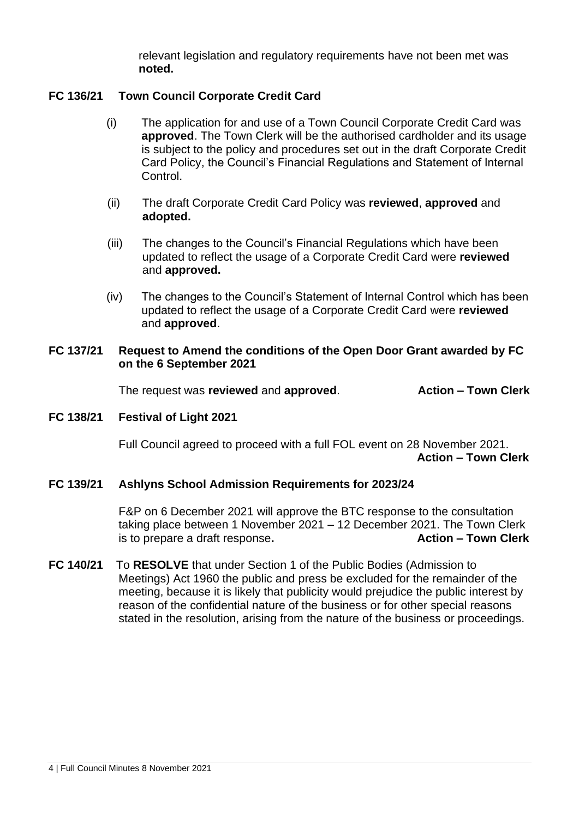relevant legislation and regulatory requirements have not been met was **noted.**

#### **FC 136/21 Town Council Corporate Credit Card**

- (i) The application for and use of a Town Council Corporate Credit Card was **approved**. The Town Clerk will be the authorised cardholder and its usage is subject to the policy and procedures set out in the draft Corporate Credit Card Policy, the Council's Financial Regulations and Statement of Internal Control.
- (ii) The draft Corporate Credit Card Policy was **reviewed**, **approved** and **adopted.**
- (iii) The changes to the Council's Financial Regulations which have been updated to reflect the usage of a Corporate Credit Card were **reviewed**  and **approved.**
- (iv) The changes to the Council's Statement of Internal Control which has been updated to reflect the usage of a Corporate Credit Card were **reviewed** and **approved**.

#### **FC 137/21 Request to Amend the conditions of the Open Door Grant awarded by FC on the 6 September 2021**

The request was **reviewed** and **approved**. **Action – Town Clerk**

#### **FC 138/21 Festival of Light 2021**

Full Council agreed to proceed with a full FOL event on 28 November 2021. **Action – Town Clerk**

### **FC 139/21 Ashlyns School Admission Requirements for 2023/24**

F&P on 6 December 2021 will approve the BTC response to the consultation taking place between 1 November 2021 – 12 December 2021. The Town Clerk is to prepare a draft response. **Action – Town Clerk** 

**FC 140/21** To **RESOLVE** that under Section 1 of the Public Bodies (Admission to Meetings) Act 1960 the public and press be excluded for the remainder of the meeting, because it is likely that publicity would prejudice the public interest by reason of the confidential nature of the business or for other special reasons stated in the resolution, arising from the nature of the business or proceedings.